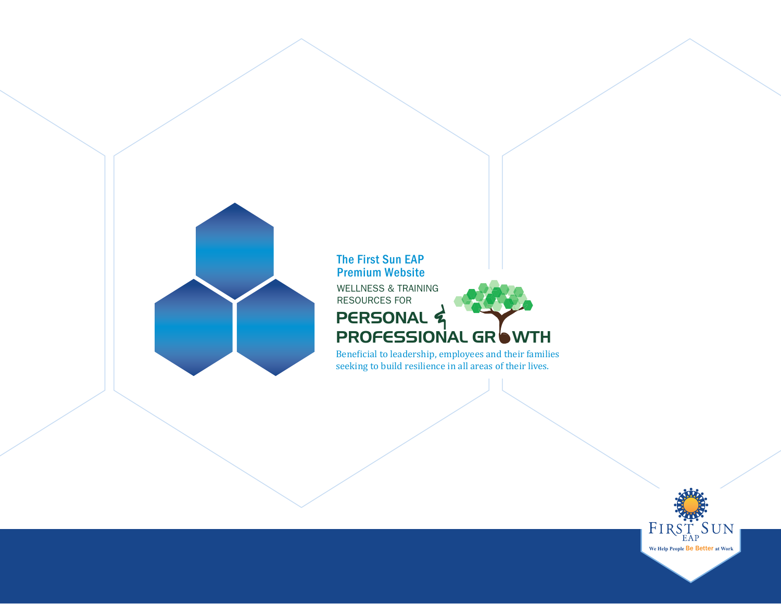

### **The First Sun EAP Premium Website**

WELLNESS & TRAINING RESOURCES FOR

#### GR WTH **PERSONAL** PROFESSIONAL & **b**

Beneficial to leadership, employees and their families seeking to build resilience in all areas of their lives.

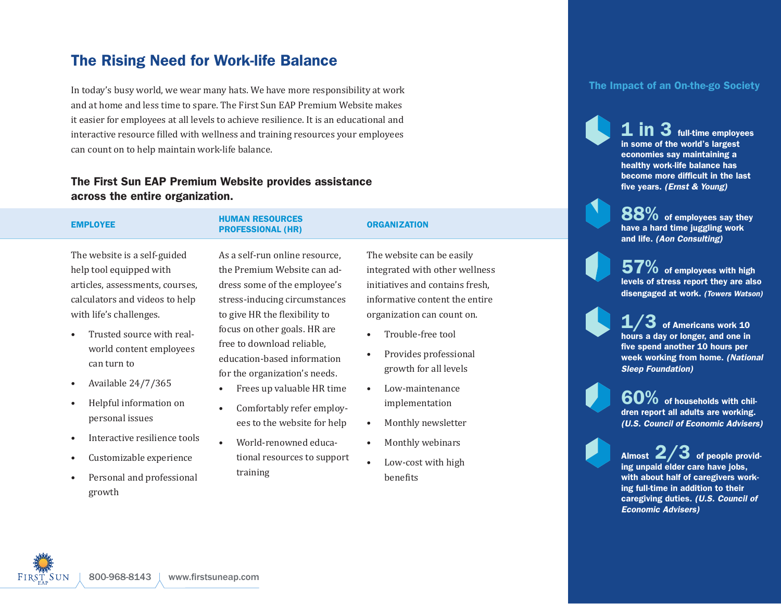## The Rising Need for Work-life Balance

In today's busy world, we wear many hats. We have more responsibility at work and at home and less time to spare. The First Sun EAP Premium Website makes it easier for employees at all levels to achieve resilience. It is an educational and interactive resource filled with wellness and training resources your employees can count on to help maintain work-life balance.

### The First Sun EAP Premium Website provides assistance across the entire organization.

| <b>EMPLOYEE</b>                                                                                                                                                                                                                                                                                                                                                                                                                                                                   | <b>HUMAN RESOURCES</b><br><b>PROFESSIONAL (HR)</b>                                                                                                                                                                                                                                                                                                                                                                                                                                        | <b>ORGANIZATION</b>                                                                                                                                                                                                                                                                                                                                                                                                     |
|-----------------------------------------------------------------------------------------------------------------------------------------------------------------------------------------------------------------------------------------------------------------------------------------------------------------------------------------------------------------------------------------------------------------------------------------------------------------------------------|-------------------------------------------------------------------------------------------------------------------------------------------------------------------------------------------------------------------------------------------------------------------------------------------------------------------------------------------------------------------------------------------------------------------------------------------------------------------------------------------|-------------------------------------------------------------------------------------------------------------------------------------------------------------------------------------------------------------------------------------------------------------------------------------------------------------------------------------------------------------------------------------------------------------------------|
| The website is a self-guided<br>help tool equipped with<br>articles, assessments, courses,<br>calculators and videos to help<br>with life's challenges.<br>Trusted source with real-<br>$\bullet$<br>world content employees<br>can turn to<br>Available 24/7/365<br>$\bullet$<br>Helpful information on<br>$\bullet$<br>personal issues<br>Interactive resilience tools<br>$\bullet$<br>Customizable experience<br>$\bullet$<br>Personal and professional<br>$\bullet$<br>growth | As a self-run online resource,<br>the Premium Website can ad-<br>dress some of the employee's<br>stress-inducing circumstances<br>to give HR the flexibility to<br>focus on other goals. HR are<br>free to download reliable,<br>education-based information<br>for the organization's needs.<br>Frees up valuable HR time<br>٠<br>Comfortably refer employ-<br>$\bullet$<br>ees to the website for help<br>World-renowned educa-<br>$\bullet$<br>tional resources to support<br>training | The website can be easily<br>integrated with other wellness<br>initiatives and contains fresh,<br>informative content the entire<br>organization can count on.<br>Trouble-free tool<br>Provides professional<br>$\bullet$<br>growth for all levels<br>Low-maintenance<br>$\bullet$<br>implementation<br>Monthly newsletter<br>$\bullet$<br>Monthly webinars<br>$\bullet$<br>Low-cost with high<br>$\bullet$<br>benefits |
|                                                                                                                                                                                                                                                                                                                                                                                                                                                                                   |                                                                                                                                                                                                                                                                                                                                                                                                                                                                                           |                                                                                                                                                                                                                                                                                                                                                                                                                         |

### The Impact of an On-the-go Society

in 3 full-time employees in some of the world's largest economies say maintaining a healthy work-life balance has become more difficult in the last five years. *(Ernst & Young)*

88% of employees say they have a hard time juggling work and life. *(Aon Consulting)*

 $57\%$  of employees with high levels of stress report they are also disengaged at work. *(Towers Watson)*

of Americans work 10 hours a day or longer, and one in five spend another 10 hours per week working from home. *(National Sleep Foundation)*

60% of households with children report all adults are working. *(U.S. Council of Economic Advisers)*

Almost  $2/3$  of people providing unpaid elder care have jobs, with about half of caregivers working full-time in addition to their caregiving duties. *(U.S. Council of Economic Advisers)*

**We Help People at** Be Better **Work**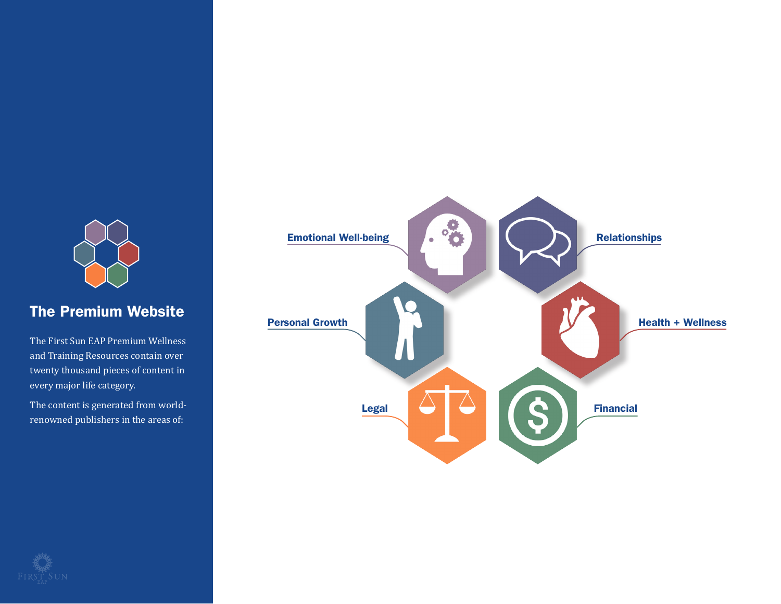

### The Premium Website

The First Sun EAP Premium Wellness and Training Resources contain over twenty thousand pieces of content in every major life category.

The content is generated from worldrenowned publishers in the areas of:



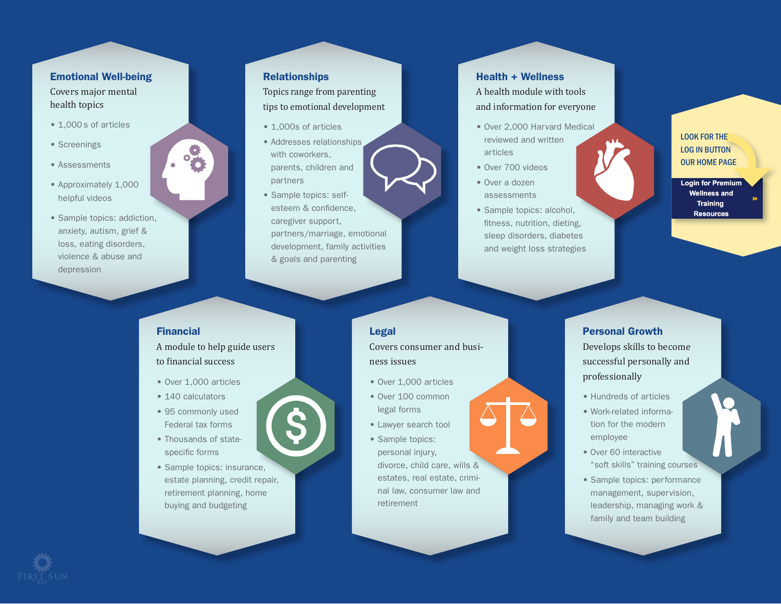### Emotional Well-being

Covers major mental health topics

- 1,000s of articles
- Screenings
- Assessments
- Approximately 1,000 helpful videos
- Sample topics: addiction, anxiety, autism, grief & loss, eating disorders, violence & abuse and depression

### Relationships

### Topics range from parenting tips to emotional development

- 1,000s of articles
- Addresses relationships with coworkers, parents, children and partners
- Sample topics: selfesteem & confidence caregiver support, partners/marriage, emotional development, family activities & goals and parenting

#### Health + Wellness

A health module with tools and information for everyone

- Over 2,000 Harvard Medical reviewed and written articles
- Over 700 videos
- Over a dozen assessments
- Sample topics: alcohol, fitness, nutrition, dieting, sleep disorders, diabetes and weight loss strategies

### **LOOK FOR THE LOG IN BUTTON OUR HOME PAGE**

**Login for Premium Wellness and Training Resources** 

### Financial

A module to help guide users to financial success

- Over 1,000 articles
- 140 calculators
- 95 commonly used Federal tax forms
- Thousands of statespecific forms
- Sample topics: insurance, estate planning, credit repair, retirement planning, home buying and budgeting

Legal Covers consumer and business issues

- Over 1,000 articles
- Over 100 common
- legal forms
- Lawyer search tool
- Sample topics: personal injury, divorce, child care, wills & estates, real estate, criminal law, consumer law and retirement

### Personal Growth

Develops skills to become successful personally and professionally

- Hundreds of articles
- Work-related information for the modern employee
- Over 60 interactive "soft skills" training courses
- Sample topics: performance management, supervision, leadership, managing work & family and team building

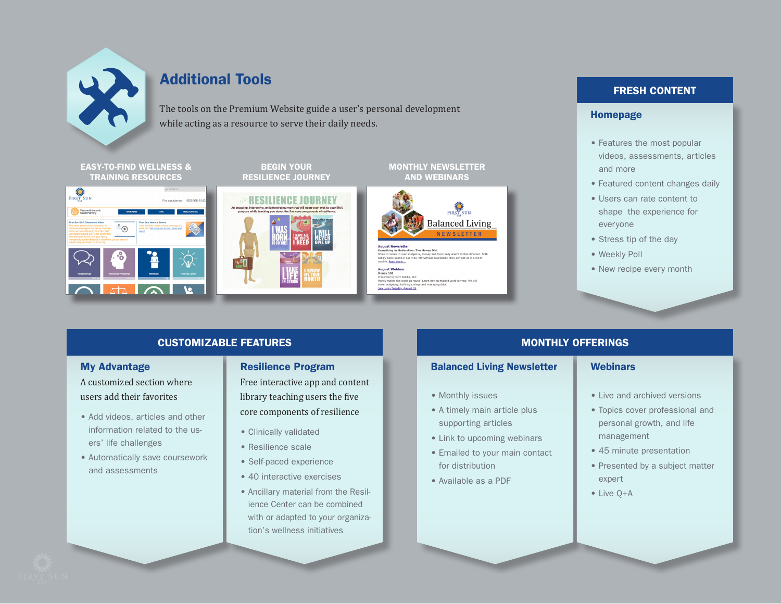

### Additional Tools

The tools on the Premium Website guide a user's personal development while acting as a resource to serve their daily needs.

EASY-TO-FIND WELLNESS & TRAINING RESOURCES



BEGIN YOUR RESILIENCE JOURNEY





MONTHLY NEWSLETTER

e Money Diet<br>e, money and food really aren't all that different. Bot

### FRESH CONTENT

### Homepage

- Features the most popular videos, assessments, articles and more
- Featured content changes daily
- Users can rate content to shape the experience for everyone
- Stress tip of the day
- Weekly Poll
- New recipe every month

### CUSTOMIZABLE FEATURES

### My Advantage

A customized section where users add their favorites

- Add videos, articles and other information related to the users' life challenges
- Automatically save coursework and assessments

### Resilience Program

Free interactive app and content library teaching users the five core components of resilience

- Clinically validated
- Resilience scale
- Self-paced experience
- 40 interactive exercises
- Ancillary material from the Resilience Center can be combined with or adapted to your organization's wellness initiatives

### MONTHLY OFFERINGS

### Balanced Living Newsletter

- Monthly issues
- A timely main article plus supporting articles
- Link to upcoming webinars
- Emailed to your main contact for distribution
- Available as a PDF

### **Webinars**

- Live and archived versions
- Topics cover professional and personal growth, and life management
- 45 minute presentation
- Presented by a subject matter expert
- Live Q+A